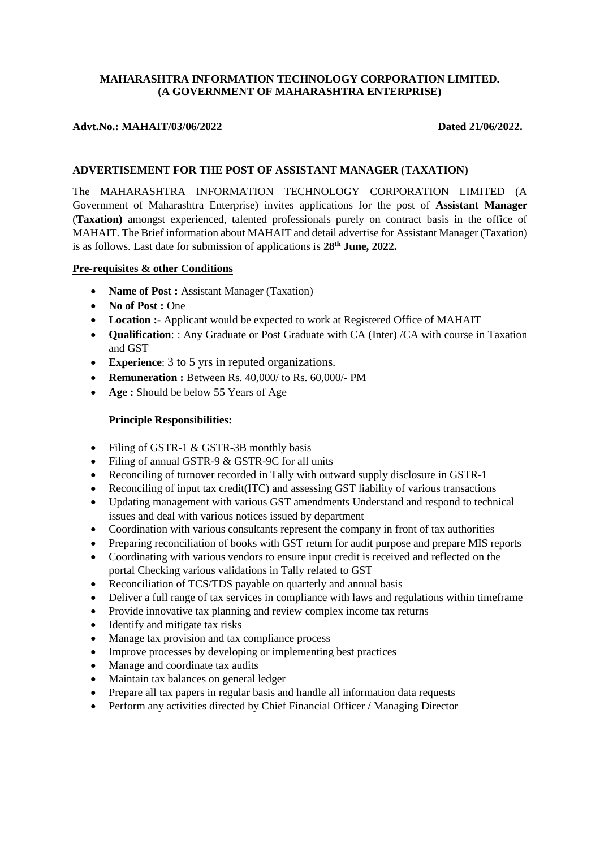## **MAHARASHTRA INFORMATION TECHNOLOGY CORPORATION LIMITED. (A GOVERNMENT OF MAHARASHTRA ENTERPRISE)**

# Advt.No.: MAHAIT/03/06/2022 Dated 21/06/2022.

## **ADVERTISEMENT FOR THE POST OF ASSISTANT MANAGER (TAXATION)**

The MAHARASHTRA INFORMATION TECHNOLOGY CORPORATION LIMITED (A Government of Maharashtra Enterprise) invites applications for the post of **Assistant Manager** (**Taxation)** amongst experienced, talented professionals purely on contract basis in the office of MAHAIT. The Brief information about MAHAIT and detail advertise for Assistant Manager (Taxation) is as follows. Last date for submission of applications is **28th June, 2022.**

### **Pre-requisites & other Conditions**

- **Name of Post : Assistant Manager (Taxation)**
- No of Post : One
- **Location :-** Applicant would be expected to work at Registered Office of MAHAIT
- **Qualification**: : Any Graduate or Post Graduate with CA (Inter) /CA with course in Taxation and GST
- **Experience:** 3 to 5 yrs in reputed organizations.
- **Remuneration :** Between Rs. 40,000/ to Rs. 60,000/- PM
- **Age :** Should be below 55 Years of Age

### **Principle Responsibilities:**

- Filing of GSTR-1 & GSTR-3B monthly basis
- Filing of annual GSTR-9 & GSTR-9C for all units
- Reconciling of turnover recorded in Tally with outward supply disclosure in GSTR-1
- Reconciling of input tax credit(ITC) and assessing GST liability of various transactions
- Updating management with various GST amendments Understand and respond to technical issues and deal with various notices issued by department
- Coordination with various consultants represent the company in front of tax authorities
- Preparing reconciliation of books with GST return for audit purpose and prepare MIS reports
- Coordinating with various vendors to ensure input credit is received and reflected on the portal Checking various validations in Tally related to GST
- Reconciliation of TCS/TDS payable on quarterly and annual basis
- Deliver a full range of tax services in compliance with laws and regulations within timeframe
- Provide innovative tax planning and review complex income tax returns
- Identify and mitigate tax risks
- Manage tax provision and tax compliance process
- Improve processes by developing or implementing best practices
- Manage and coordinate tax audits
- Maintain tax balances on general ledger
- Prepare all tax papers in regular basis and handle all information data requests
- Perform any activities directed by Chief Financial Officer / Managing Director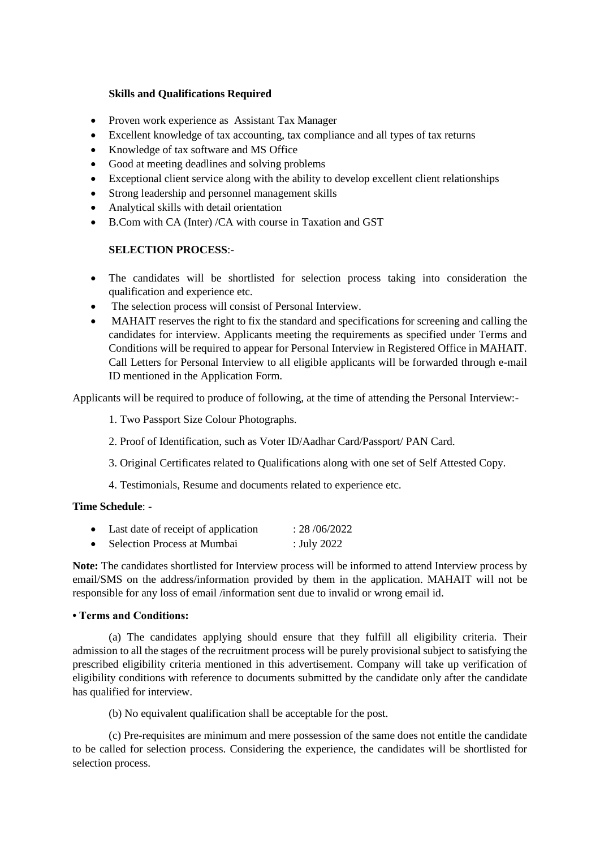## **Skills and Qualifications Required**

- Proven work experience as Assistant Tax Manager
- Excellent knowledge of [tax accounting,](https://resources.workable.com/tax-accountant-job-description) tax compliance and all types of tax returns
- Knowledge of tax software and MS Office
- Good at meeting deadlines and solving problems
- Exceptional client service along with the ability to develop excellent client relationships
- Strong leadership and personnel management skills
- Analytical skills with detail orientation
- B.Com with CA (Inter) /CA with course in Taxation and GST

## **SELECTION PROCESS**:-

- The candidates will be shortlisted for selection process taking into consideration the qualification and experience etc.
- The selection process will consist of Personal Interview.
- MAHAIT reserves the right to fix the standard and specifications for screening and calling the candidates for interview. Applicants meeting the requirements as specified under Terms and Conditions will be required to appear for Personal Interview in Registered Office in MAHAIT. Call Letters for Personal Interview to all eligible applicants will be forwarded through e-mail ID mentioned in the Application Form.

Applicants will be required to produce of following, at the time of attending the Personal Interview:-

1. Two Passport Size Colour Photographs.

- 2. Proof of Identification, such as Voter ID/Aadhar Card/Passport/ PAN Card.
- 3. Original Certificates related to Qualifications along with one set of Self Attested Copy.
- 4. Testimonials, Resume and documents related to experience etc.

### **Time Schedule**: -

- Last date of receipt of application : 28/06/2022
- Selection Process at Mumbai : July 2022

**Note:** The candidates shortlisted for Interview process will be informed to attend Interview process by email/SMS on the address/information provided by them in the application. MAHAIT will not be responsible for any loss of email /information sent due to invalid or wrong email id.

## **• Terms and Conditions:**

(a) The candidates applying should ensure that they fulfill all eligibility criteria. Their admission to all the stages of the recruitment process will be purely provisional subject to satisfying the prescribed eligibility criteria mentioned in this advertisement. Company will take up verification of eligibility conditions with reference to documents submitted by the candidate only after the candidate has qualified for interview.

(b) No equivalent qualification shall be acceptable for the post.

(c) Pre-requisites are minimum and mere possession of the same does not entitle the candidate to be called for selection process. Considering the experience, the candidates will be shortlisted for selection process.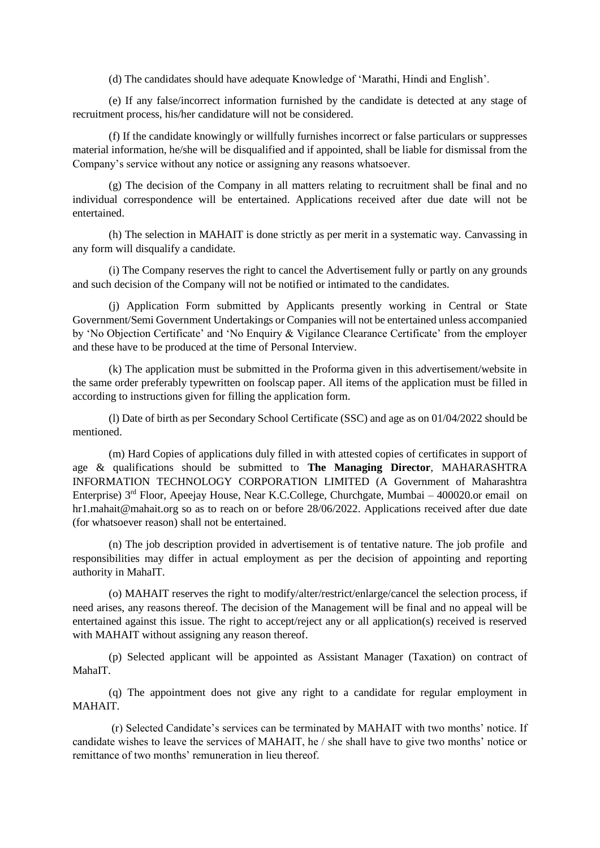(d) The candidates should have adequate Knowledge of 'Marathi, Hindi and English'.

(e) If any false/incorrect information furnished by the candidate is detected at any stage of recruitment process, his/her candidature will not be considered.

(f) If the candidate knowingly or willfully furnishes incorrect or false particulars or suppresses material information, he/she will be disqualified and if appointed, shall be liable for dismissal from the Company's service without any notice or assigning any reasons whatsoever.

(g) The decision of the Company in all matters relating to recruitment shall be final and no individual correspondence will be entertained. Applications received after due date will not be entertained.

(h) The selection in MAHAIT is done strictly as per merit in a systematic way. Canvassing in any form will disqualify a candidate.

(i) The Company reserves the right to cancel the Advertisement fully or partly on any grounds and such decision of the Company will not be notified or intimated to the candidates.

(j) Application Form submitted by Applicants presently working in Central or State Government/Semi Government Undertakings or Companies will not be entertained unless accompanied by 'No Objection Certificate' and 'No Enquiry & Vigilance Clearance Certificate' from the employer and these have to be produced at the time of Personal Interview.

(k) The application must be submitted in the Proforma given in this advertisement/website in the same order preferably typewritten on foolscap paper. All items of the application must be filled in according to instructions given for filling the application form.

(l) Date of birth as per Secondary School Certificate (SSC) and age as on 01/04/2022 should be mentioned.

(m) Hard Copies of applications duly filled in with attested copies of certificates in support of age & qualifications should be submitted to **The Managing Director**, MAHARASHTRA INFORMATION TECHNOLOGY CORPORATION LIMITED (A Government of Maharashtra Enterprise) 3<sup>rd</sup> Floor, Apeejay House, Near K.C.College, Churchgate, Mumbai – 400020.or email on hr1.mahait@mahait.org so as to reach on or before 28/06/2022. Applications received after due date (for whatsoever reason) shall not be entertained.

(n) The job description provided in advertisement is of tentative nature. The job profile and responsibilities may differ in actual employment as per the decision of appointing and reporting authority in MahaIT.

(o) MAHAIT reserves the right to modify/alter/restrict/enlarge/cancel the selection process, if need arises, any reasons thereof. The decision of the Management will be final and no appeal will be entertained against this issue. The right to accept/reject any or all application(s) received is reserved with MAHAIT without assigning any reason thereof.

(p) Selected applicant will be appointed as Assistant Manager (Taxation) on contract of MahaIT.

(q) The appointment does not give any right to a candidate for regular employment in MAHAIT.

(r) Selected Candidate's services can be terminated by MAHAIT with two months' notice. If candidate wishes to leave the services of MAHAIT, he / she shall have to give two months' notice or remittance of two months' remuneration in lieu thereof.